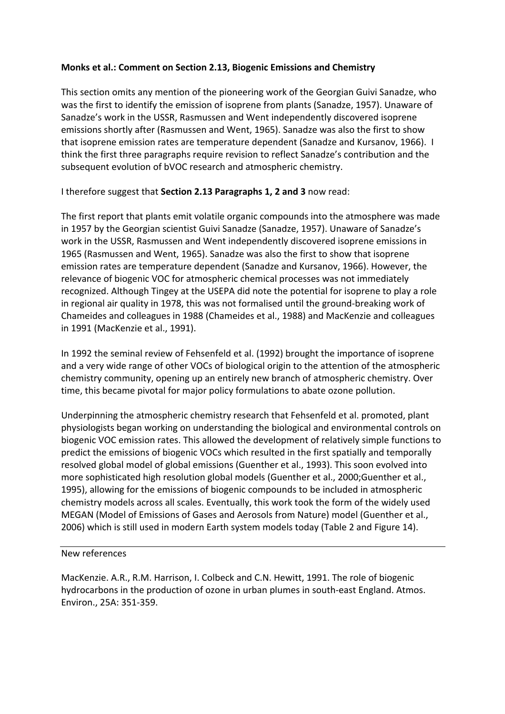## **Monks et al.: Comment on Section 2.13, Biogenic Emissions and Chemistry**

This section omits any mention of the pioneering work of the Georgian Guivi Sanadze, who was the first to identify the emission of isoprene from plants (Sanadze, 1957). Unaware of Sanadze's work in the USSR, Rasmussen and Went independently discovered isoprene emissions shortly after (Rasmussen and Went, 1965). Sanadze was also the first to show that isoprene emission rates are temperature dependent (Sanadze and Kursanov, 1966). I think the first three paragraphs require revision to reflect Sanadze's contribution and the subsequent evolution of bVOC research and atmospheric chemistry.

I therefore suggest that **Section 2.13 Paragraphs 1, 2 and 3** now read:

The first report that plants emit volatile organic compounds into the atmosphere was made in 1957 by the Georgian scientist Guivi Sanadze (Sanadze, 1957). Unaware of Sanadze's work in the USSR, Rasmussen and Went independently discovered isoprene emissions in 1965 (Rasmussen and Went, 1965). Sanadze was also the first to show that isoprene emission rates are temperature dependent (Sanadze and Kursanov, 1966). However, the relevance of biogenic VOC for atmospheric chemical processes was not immediately recognized. Although Tingey at the USEPA did note the potential for isoprene to play a role in regional air quality in 1978, this was not formalised until the ground-breaking work of Chameides and colleagues in 1988 (Chameides et al., 1988) and MacKenzie and colleagues in 1991 (MacKenzie et al., 1991).

In 1992 the seminal review of Fehsenfeld et al. (1992) brought the importance of isoprene and a very wide range of other VOCs of biological origin to the attention of the atmospheric chemistry community, opening up an entirely new branch of atmospheric chemistry. Over time, this became pivotal for major policy formulations to abate ozone pollution.

Underpinning the atmospheric chemistry research that Fehsenfeld et al. promoted, plant physiologists began working on understanding the biological and environmental controls on biogenic VOC emission rates. This allowed the development of relatively simple functions to predict the emissions of biogenic VOCs which resulted in the first spatially and temporally resolved global model of global emissions (Guenther et al., 1993). This soon evolved into more sophisticated high resolution global models (Guenther et al., 2000;Guenther et al., 1995), allowing for the emissions of biogenic compounds to be included in atmospheric chemistry models across all scales. Eventually, this work took the form of the widely used MEGAN (Model of Emissions of Gases and Aerosols from Nature) model (Guenther et al., 2006) which is still used in modern Earth system models today (Table 2 and Figure 14).

New references

MacKenzie. A.R., R.M. Harrison, I. Colbeck and C.N. Hewitt, 1991. The role of biogenic hydrocarbons in the production of ozone in urban plumes in south-east England. Atmos. Environ., 25A: 351-359.